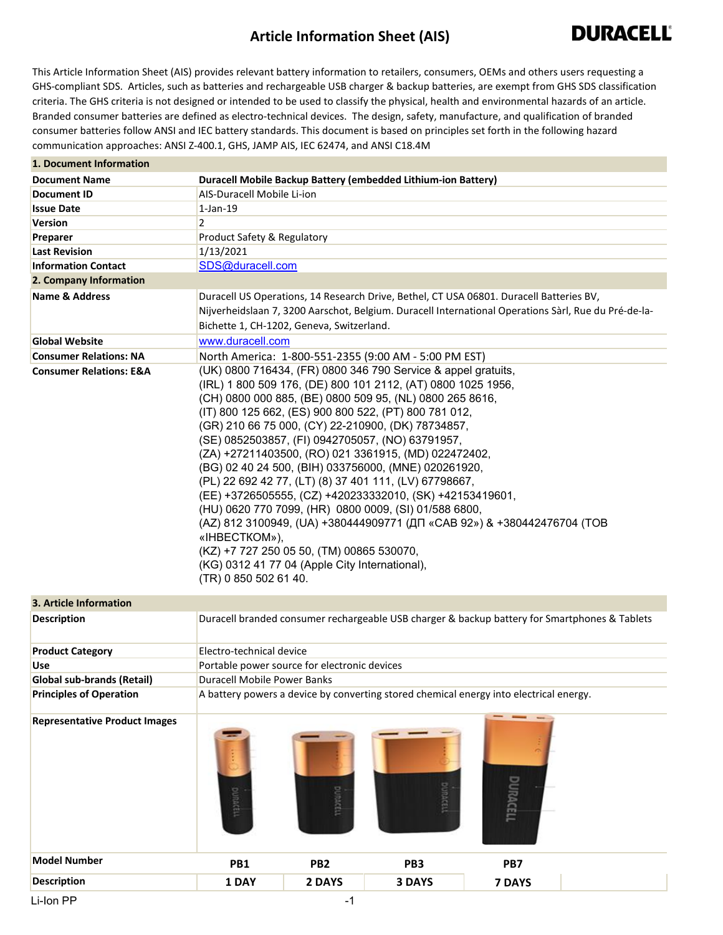## **Article Information Sheet (AIS)**



This Article Information Sheet (AIS) provides relevant battery information to retailers, consumers, OEMs and others users requesting a GHS-compliant SDS. Articles, such as batteries and rechargeable USB charger & backup batteries, are exempt from GHS SDS classification criteria. The GHS criteria is not designed or intended to be used to classify the physical, health and environmental hazards of an article. Branded consumer batteries are defined as electro-technical devices. The design, safety, manufacture, and qualification of branded consumer batteries follow ANSI and IEC battery standards. This document is based on principles set forth in the following hazard communication approaches: ANSI Z-400.1, GHS, JAMP AIS, IEC 62474, and ANSI C18.4M

| 1. Document Information            |                                                                                                                                                                                                                                                                                                                                                                                                                                                                                                                                                                                                                                                                                                                                                                                                                                                                                 |  |  |  |
|------------------------------------|---------------------------------------------------------------------------------------------------------------------------------------------------------------------------------------------------------------------------------------------------------------------------------------------------------------------------------------------------------------------------------------------------------------------------------------------------------------------------------------------------------------------------------------------------------------------------------------------------------------------------------------------------------------------------------------------------------------------------------------------------------------------------------------------------------------------------------------------------------------------------------|--|--|--|
| <b>Document Name</b>               | Duracell Mobile Backup Battery (embedded Lithium-ion Battery)                                                                                                                                                                                                                                                                                                                                                                                                                                                                                                                                                                                                                                                                                                                                                                                                                   |  |  |  |
| <b>Document ID</b>                 | AIS-Duracell Mobile Li-ion                                                                                                                                                                                                                                                                                                                                                                                                                                                                                                                                                                                                                                                                                                                                                                                                                                                      |  |  |  |
| <b>Issue Date</b>                  | $1$ -Jan- $19$                                                                                                                                                                                                                                                                                                                                                                                                                                                                                                                                                                                                                                                                                                                                                                                                                                                                  |  |  |  |
| <b>Version</b>                     | $\overline{2}$                                                                                                                                                                                                                                                                                                                                                                                                                                                                                                                                                                                                                                                                                                                                                                                                                                                                  |  |  |  |
| Preparer                           | Product Safety & Regulatory                                                                                                                                                                                                                                                                                                                                                                                                                                                                                                                                                                                                                                                                                                                                                                                                                                                     |  |  |  |
| <b>Last Revision</b>               | 1/13/2021                                                                                                                                                                                                                                                                                                                                                                                                                                                                                                                                                                                                                                                                                                                                                                                                                                                                       |  |  |  |
| <b>Information Contact</b>         | SDS@duracell.com                                                                                                                                                                                                                                                                                                                                                                                                                                                                                                                                                                                                                                                                                                                                                                                                                                                                |  |  |  |
| 2. Company Information             |                                                                                                                                                                                                                                                                                                                                                                                                                                                                                                                                                                                                                                                                                                                                                                                                                                                                                 |  |  |  |
| <b>Name &amp; Address</b>          | Duracell US Operations, 14 Research Drive, Bethel, CT USA 06801. Duracell Batteries BV,<br>Nijverheidslaan 7, 3200 Aarschot, Belgium. Duracell International Operations Sàrl, Rue du Pré-de-la-<br>Bichette 1, CH-1202, Geneva, Switzerland.                                                                                                                                                                                                                                                                                                                                                                                                                                                                                                                                                                                                                                    |  |  |  |
| <b>Global Website</b>              | www.duracell.com                                                                                                                                                                                                                                                                                                                                                                                                                                                                                                                                                                                                                                                                                                                                                                                                                                                                |  |  |  |
| <b>Consumer Relations: NA</b>      | North America: 1-800-551-2355 (9:00 AM - 5:00 PM EST)                                                                                                                                                                                                                                                                                                                                                                                                                                                                                                                                                                                                                                                                                                                                                                                                                           |  |  |  |
| <b>Consumer Relations: E&amp;A</b> | (UK) 0800 716434, (FR) 0800 346 790 Service & appel gratuits,<br>(IRL) 1 800 509 176, (DE) 800 101 2112, (AT) 0800 1025 1956,<br>(CH) 0800 000 885, (BE) 0800 509 95, (NL) 0800 265 8616,<br>(IT) 800 125 662, (ES) 900 800 522, (PT) 800 781 012,<br>(GR) 210 66 75 000, (CY) 22-210900, (DK) 78734857,<br>(SE) 0852503857, (FI) 0942705057, (NO) 63791957,<br>(ZA) +27211403500, (RO) 021 3361915, (MD) 022472402,<br>(BG) 02 40 24 500, (BIH) 033756000, (MNE) 020261920,<br>(PL) 22 692 42 77, (LT) (8) 37 401 111, (LV) 67798667,<br>(EE) +3726505555, (CZ) +420233332010, (SK) +42153419601,<br>(HU) 0620 770 7099, (HR) 0800 0009, (SI) 01/588 6800,<br>(AZ) 812 3100949, (UA) +380444909771 (ДП «САВ 92») & +380442476704 (TOB<br>«IHBECTKOM»),<br>(KZ) +7 727 250 05 50, (TM) 00865 530070,<br>(KG) 0312 41 77 04 (Apple City International),<br>(TR) 0 850 502 61 40. |  |  |  |
| 3. Article Information             |                                                                                                                                                                                                                                                                                                                                                                                                                                                                                                                                                                                                                                                                                                                                                                                                                                                                                 |  |  |  |
| <b>Description</b>                 | Duracell branded consumer rechargeable USB charger & backup battery for Smartphones & Tablets                                                                                                                                                                                                                                                                                                                                                                                                                                                                                                                                                                                                                                                                                                                                                                                   |  |  |  |
| <b>Product Category</b>            | Electro-technical device                                                                                                                                                                                                                                                                                                                                                                                                                                                                                                                                                                                                                                                                                                                                                                                                                                                        |  |  |  |
| Use                                | Portable power source for electronic devices                                                                                                                                                                                                                                                                                                                                                                                                                                                                                                                                                                                                                                                                                                                                                                                                                                    |  |  |  |

A battery powers a device by converting stored chemical energy into electrical energy. Duracell Mobile Power Banks **Global sub-brands (Retail) Principles of Operation**







| Model Number       | PB <sub>1</sub> | PB <sub>2</sub> | PB <sub>3</sub> | PB7    |
|--------------------|-----------------|-----------------|-----------------|--------|
| <b>Description</b> | . DAY           | 2 DAYS          | <b>DAVC</b>     | 7 DAYS |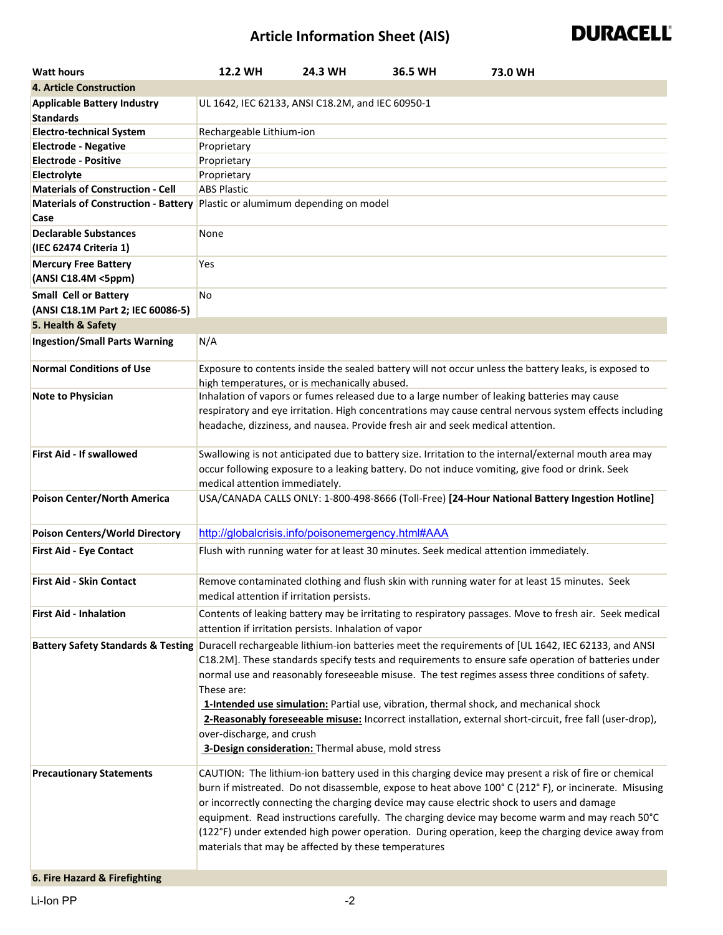## **Article Information Sheet (AIS)**



| <b>Watt hours</b>                                      | 12.2 WH                                                                                                                                                                                                                                                                                                                                                                                                                                                                                                                                                                    | 24.3 WH                                               | 36.5 WH | 73.0 WH                                                                                                                                                                                                                                                                                                                                                                                                                                                                                                                                                |  |  |
|--------------------------------------------------------|----------------------------------------------------------------------------------------------------------------------------------------------------------------------------------------------------------------------------------------------------------------------------------------------------------------------------------------------------------------------------------------------------------------------------------------------------------------------------------------------------------------------------------------------------------------------------|-------------------------------------------------------|---------|--------------------------------------------------------------------------------------------------------------------------------------------------------------------------------------------------------------------------------------------------------------------------------------------------------------------------------------------------------------------------------------------------------------------------------------------------------------------------------------------------------------------------------------------------------|--|--|
| <b>4. Article Construction</b>                         |                                                                                                                                                                                                                                                                                                                                                                                                                                                                                                                                                                            |                                                       |         |                                                                                                                                                                                                                                                                                                                                                                                                                                                                                                                                                        |  |  |
| <b>Applicable Battery Industry</b><br><b>Standards</b> | UL 1642, IEC 62133, ANSI C18.2M, and IEC 60950-1                                                                                                                                                                                                                                                                                                                                                                                                                                                                                                                           |                                                       |         |                                                                                                                                                                                                                                                                                                                                                                                                                                                                                                                                                        |  |  |
| <b>Electro-technical System</b>                        | Rechargeable Lithium-ion                                                                                                                                                                                                                                                                                                                                                                                                                                                                                                                                                   |                                                       |         |                                                                                                                                                                                                                                                                                                                                                                                                                                                                                                                                                        |  |  |
| <b>Electrode - Negative</b>                            | Proprietary                                                                                                                                                                                                                                                                                                                                                                                                                                                                                                                                                                |                                                       |         |                                                                                                                                                                                                                                                                                                                                                                                                                                                                                                                                                        |  |  |
| <b>Electrode - Positive</b>                            | Proprietary                                                                                                                                                                                                                                                                                                                                                                                                                                                                                                                                                                |                                                       |         |                                                                                                                                                                                                                                                                                                                                                                                                                                                                                                                                                        |  |  |
| Electrolyte                                            | Proprietary                                                                                                                                                                                                                                                                                                                                                                                                                                                                                                                                                                |                                                       |         |                                                                                                                                                                                                                                                                                                                                                                                                                                                                                                                                                        |  |  |
| <b>Materials of Construction - Cell</b>                | <b>ABS Plastic</b>                                                                                                                                                                                                                                                                                                                                                                                                                                                                                                                                                         |                                                       |         |                                                                                                                                                                                                                                                                                                                                                                                                                                                                                                                                                        |  |  |
| <b>Materials of Construction - Battery</b><br>Case     |                                                                                                                                                                                                                                                                                                                                                                                                                                                                                                                                                                            | Plastic or alumimum depending on model                |         |                                                                                                                                                                                                                                                                                                                                                                                                                                                                                                                                                        |  |  |
| <b>Declarable Substances</b><br>(IEC 62474 Criteria 1) | None                                                                                                                                                                                                                                                                                                                                                                                                                                                                                                                                                                       |                                                       |         |                                                                                                                                                                                                                                                                                                                                                                                                                                                                                                                                                        |  |  |
| <b>Mercury Free Battery</b><br>(ANSI C18.4M <5ppm)     | Yes                                                                                                                                                                                                                                                                                                                                                                                                                                                                                                                                                                        |                                                       |         |                                                                                                                                                                                                                                                                                                                                                                                                                                                                                                                                                        |  |  |
| <b>Small Cell or Battery</b>                           | No                                                                                                                                                                                                                                                                                                                                                                                                                                                                                                                                                                         |                                                       |         |                                                                                                                                                                                                                                                                                                                                                                                                                                                                                                                                                        |  |  |
| (ANSI C18.1M Part 2; IEC 60086-5)                      |                                                                                                                                                                                                                                                                                                                                                                                                                                                                                                                                                                            |                                                       |         |                                                                                                                                                                                                                                                                                                                                                                                                                                                                                                                                                        |  |  |
| 5. Health & Safety                                     |                                                                                                                                                                                                                                                                                                                                                                                                                                                                                                                                                                            |                                                       |         |                                                                                                                                                                                                                                                                                                                                                                                                                                                                                                                                                        |  |  |
| <b>Ingestion/Small Parts Warning</b>                   | N/A                                                                                                                                                                                                                                                                                                                                                                                                                                                                                                                                                                        |                                                       |         |                                                                                                                                                                                                                                                                                                                                                                                                                                                                                                                                                        |  |  |
| <b>Normal Conditions of Use</b>                        |                                                                                                                                                                                                                                                                                                                                                                                                                                                                                                                                                                            | high temperatures, or is mechanically abused.         |         | Exposure to contents inside the sealed battery will not occur unless the battery leaks, is exposed to                                                                                                                                                                                                                                                                                                                                                                                                                                                  |  |  |
| <b>Note to Physician</b>                               |                                                                                                                                                                                                                                                                                                                                                                                                                                                                                                                                                                            |                                                       |         | Inhalation of vapors or fumes released due to a large number of leaking batteries may cause<br>respiratory and eye irritation. High concentrations may cause central nervous system effects including<br>headache, dizziness, and nausea. Provide fresh air and seek medical attention.                                                                                                                                                                                                                                                                |  |  |
| <b>First Aid - If swallowed</b>                        | Swallowing is not anticipated due to battery size. Irritation to the internal/external mouth area may<br>occur following exposure to a leaking battery. Do not induce vomiting, give food or drink. Seek<br>medical attention immediately.                                                                                                                                                                                                                                                                                                                                 |                                                       |         |                                                                                                                                                                                                                                                                                                                                                                                                                                                                                                                                                        |  |  |
| Poison Center/North America                            |                                                                                                                                                                                                                                                                                                                                                                                                                                                                                                                                                                            |                                                       |         | USA/CANADA CALLS ONLY: 1-800-498-8666 (Toll-Free) [24-Hour National Battery Ingestion Hotline]                                                                                                                                                                                                                                                                                                                                                                                                                                                         |  |  |
| <b>Poison Centers/World Directory</b>                  |                                                                                                                                                                                                                                                                                                                                                                                                                                                                                                                                                                            | http://globalcrisis.info/poisonemergency.html#AAA     |         |                                                                                                                                                                                                                                                                                                                                                                                                                                                                                                                                                        |  |  |
| <b>First Aid - Eye Contact</b>                         |                                                                                                                                                                                                                                                                                                                                                                                                                                                                                                                                                                            |                                                       |         | Flush with running water for at least 30 minutes. Seek medical attention immediately.                                                                                                                                                                                                                                                                                                                                                                                                                                                                  |  |  |
| <b>First Aid - Skin Contact</b>                        |                                                                                                                                                                                                                                                                                                                                                                                                                                                                                                                                                                            | medical attention if irritation persists.             |         | Remove contaminated clothing and flush skin with running water for at least 15 minutes. Seek                                                                                                                                                                                                                                                                                                                                                                                                                                                           |  |  |
| <b>First Aid - Inhalation</b>                          |                                                                                                                                                                                                                                                                                                                                                                                                                                                                                                                                                                            | attention if irritation persists. Inhalation of vapor |         | Contents of leaking battery may be irritating to respiratory passages. Move to fresh air. Seek medical                                                                                                                                                                                                                                                                                                                                                                                                                                                 |  |  |
|                                                        | These are:<br>over-discharge, and crush                                                                                                                                                                                                                                                                                                                                                                                                                                                                                                                                    | 3-Design consideration: Thermal abuse, mold stress    |         | Battery Safety Standards & Testing Duracell rechargeable lithium-ion batteries meet the requirements of [UL 1642, IEC 62133, and ANSI<br>C18.2M]. These standards specify tests and requirements to ensure safe operation of batteries under<br>normal use and reasonably foreseeable misuse. The test regimes assess three conditions of safety.<br>1-Intended use simulation: Partial use, vibration, thermal shock, and mechanical shock<br>2-Reasonably foreseeable misuse: Incorrect installation, external short-circuit, free fall (user-drop), |  |  |
| <b>Precautionary Statements</b>                        | CAUTION: The lithium-ion battery used in this charging device may present a risk of fire or chemical<br>burn if mistreated. Do not disassemble, expose to heat above 100° C (212° F), or incinerate. Misusing<br>or incorrectly connecting the charging device may cause electric shock to users and damage<br>equipment. Read instructions carefully. The charging device may become warm and may reach 50°C<br>(122°F) under extended high power operation. During operation, keep the charging device away from<br>materials that may be affected by these temperatures |                                                       |         |                                                                                                                                                                                                                                                                                                                                                                                                                                                                                                                                                        |  |  |

**6. Fire Hazard & Firefighting**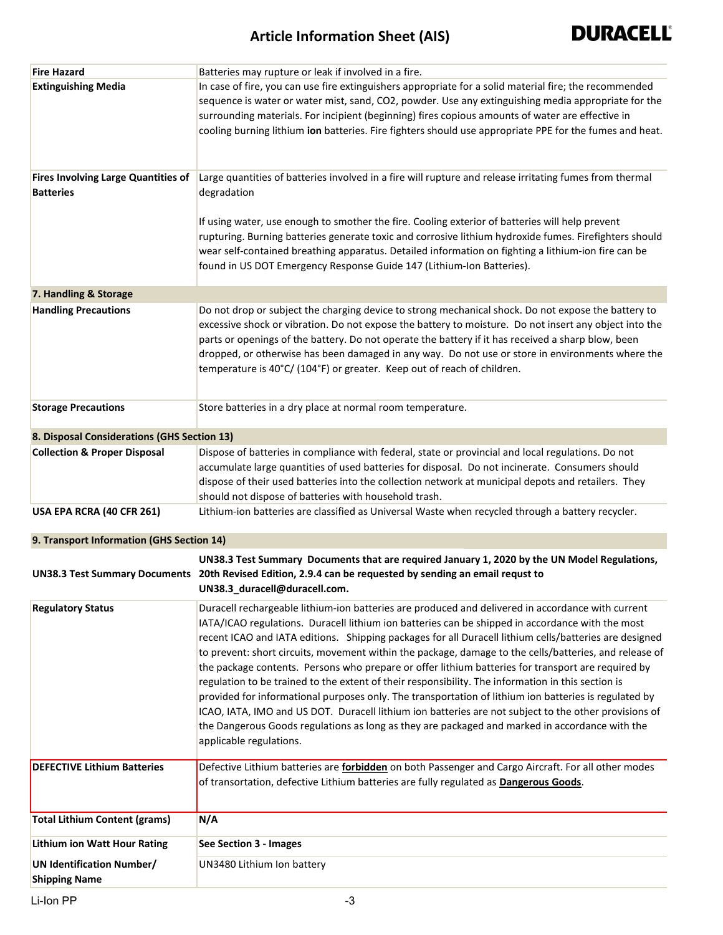| <b>Fire Hazard</b>                                             | Batteries may rupture or leak if involved in a fire.                                                                                                                                                                                                                                                                                                                                                                                                                                                                                                                                                                                                                                                                                                                                                                                                                                                                                                                                 |
|----------------------------------------------------------------|--------------------------------------------------------------------------------------------------------------------------------------------------------------------------------------------------------------------------------------------------------------------------------------------------------------------------------------------------------------------------------------------------------------------------------------------------------------------------------------------------------------------------------------------------------------------------------------------------------------------------------------------------------------------------------------------------------------------------------------------------------------------------------------------------------------------------------------------------------------------------------------------------------------------------------------------------------------------------------------|
| <b>Extinguishing Media</b>                                     | In case of fire, you can use fire extinguishers appropriate for a solid material fire; the recommended<br>sequence is water or water mist, sand, CO2, powder. Use any extinguishing media appropriate for the<br>surrounding materials. For incipient (beginning) fires copious amounts of water are effective in<br>cooling burning lithium ion batteries. Fire fighters should use appropriate PPE for the fumes and heat.                                                                                                                                                                                                                                                                                                                                                                                                                                                                                                                                                         |
| <b>Fires Involving Large Quantities of</b><br><b>Batteries</b> | Large quantities of batteries involved in a fire will rupture and release irritating fumes from thermal<br>degradation<br>If using water, use enough to smother the fire. Cooling exterior of batteries will help prevent                                                                                                                                                                                                                                                                                                                                                                                                                                                                                                                                                                                                                                                                                                                                                            |
|                                                                | rupturing. Burning batteries generate toxic and corrosive lithium hydroxide fumes. Firefighters should<br>wear self-contained breathing apparatus. Detailed information on fighting a lithium-ion fire can be<br>found in US DOT Emergency Response Guide 147 (Lithium-Ion Batteries).                                                                                                                                                                                                                                                                                                                                                                                                                                                                                                                                                                                                                                                                                               |
| 7. Handling & Storage                                          |                                                                                                                                                                                                                                                                                                                                                                                                                                                                                                                                                                                                                                                                                                                                                                                                                                                                                                                                                                                      |
| <b>Handling Precautions</b>                                    | Do not drop or subject the charging device to strong mechanical shock. Do not expose the battery to<br>excessive shock or vibration. Do not expose the battery to moisture. Do not insert any object into the<br>parts or openings of the battery. Do not operate the battery if it has received a sharp blow, been<br>dropped, or otherwise has been damaged in any way. Do not use or store in environments where the<br>temperature is 40°C/ (104°F) or greater. Keep out of reach of children.                                                                                                                                                                                                                                                                                                                                                                                                                                                                                   |
| <b>Storage Precautions</b>                                     | Store batteries in a dry place at normal room temperature.                                                                                                                                                                                                                                                                                                                                                                                                                                                                                                                                                                                                                                                                                                                                                                                                                                                                                                                           |
| 8. Disposal Considerations (GHS Section 13)                    |                                                                                                                                                                                                                                                                                                                                                                                                                                                                                                                                                                                                                                                                                                                                                                                                                                                                                                                                                                                      |
| <b>Collection &amp; Proper Disposal</b>                        | Dispose of batteries in compliance with federal, state or provincial and local regulations. Do not<br>accumulate large quantities of used batteries for disposal. Do not incinerate. Consumers should<br>dispose of their used batteries into the collection network at municipal depots and retailers. They<br>should not dispose of batteries with household trash.                                                                                                                                                                                                                                                                                                                                                                                                                                                                                                                                                                                                                |
| USA EPA RCRA (40 CFR 261)                                      | Lithium-ion batteries are classified as Universal Waste when recycled through a battery recycler.                                                                                                                                                                                                                                                                                                                                                                                                                                                                                                                                                                                                                                                                                                                                                                                                                                                                                    |
| 9. Transport Information (GHS Section 14)                      |                                                                                                                                                                                                                                                                                                                                                                                                                                                                                                                                                                                                                                                                                                                                                                                                                                                                                                                                                                                      |
|                                                                | UN38.3 Test Summary Documents that are required January 1, 2020 by the UN Model Regulations,<br>UN38.3 Test Summary Documents 20th Revised Edition, 2.9.4 can be requested by sending an email requst to<br>UN38.3_duracell@duracell.com.                                                                                                                                                                                                                                                                                                                                                                                                                                                                                                                                                                                                                                                                                                                                            |
| <b>Regulatory Status</b>                                       | Duracell rechargeable lithium-ion batteries are produced and delivered in accordance with current<br>IATA/ICAO regulations. Duracell lithium ion batteries can be shipped in accordance with the most<br>recent ICAO and IATA editions. Shipping packages for all Duracell lithium cells/batteries are designed<br>to prevent: short circuits, movement within the package, damage to the cells/batteries, and release of<br>the package contents. Persons who prepare or offer lithium batteries for transport are required by<br>regulation to be trained to the extent of their responsibility. The information in this section is<br>provided for informational purposes only. The transportation of lithium ion batteries is regulated by<br>ICAO, IATA, IMO and US DOT. Duracell lithium ion batteries are not subject to the other provisions of<br>the Dangerous Goods regulations as long as they are packaged and marked in accordance with the<br>applicable regulations. |
| <b>DEFECTIVE Lithium Batteries</b>                             | Defective Lithium batteries are <b>forbidden</b> on both Passenger and Cargo Aircraft. For all other modes<br>of transortation, defective Lithium batteries are fully regulated as <b>Dangerous Goods</b> .                                                                                                                                                                                                                                                                                                                                                                                                                                                                                                                                                                                                                                                                                                                                                                          |
| <b>Total Lithium Content (grams)</b>                           | N/A                                                                                                                                                                                                                                                                                                                                                                                                                                                                                                                                                                                                                                                                                                                                                                                                                                                                                                                                                                                  |
| <b>Lithium ion Watt Hour Rating</b>                            | See Section 3 - Images                                                                                                                                                                                                                                                                                                                                                                                                                                                                                                                                                                                                                                                                                                                                                                                                                                                                                                                                                               |
| <b>UN Identification Number/</b><br><b>Shipping Name</b>       | UN3480 Lithium Ion battery                                                                                                                                                                                                                                                                                                                                                                                                                                                                                                                                                                                                                                                                                                                                                                                                                                                                                                                                                           |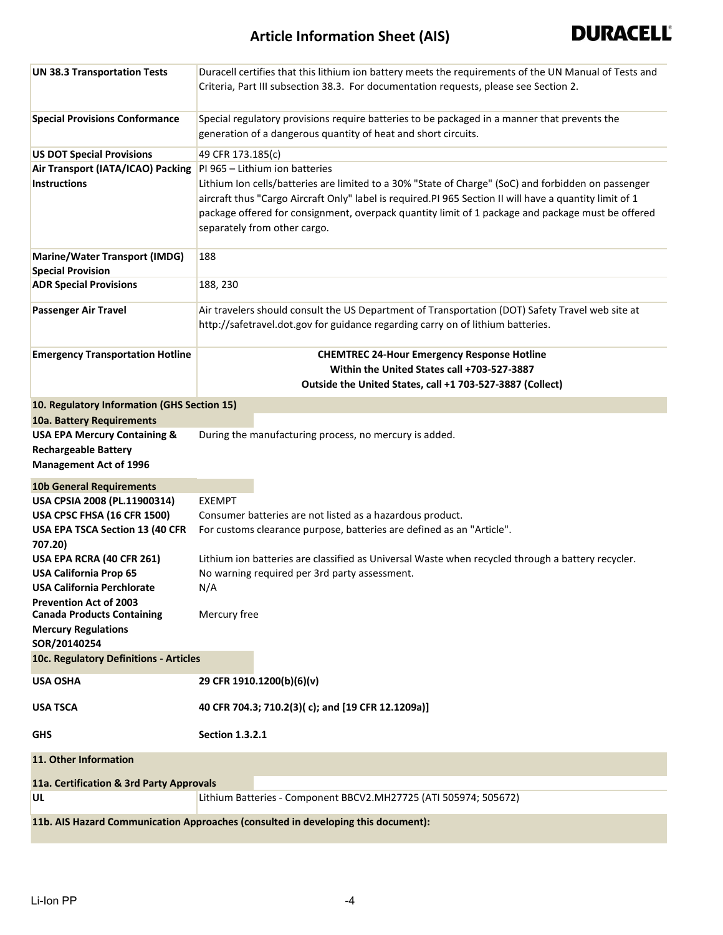## **Article Information Sheet (AIS)**



| <b>UN 38.3 Transportation Tests</b>                                | Duracell certifies that this lithium ion battery meets the requirements of the UN Manual of Tests and<br>Criteria, Part III subsection 38.3. For documentation requests, please see Section 2.                                                                                                                                                      |  |  |  |  |
|--------------------------------------------------------------------|-----------------------------------------------------------------------------------------------------------------------------------------------------------------------------------------------------------------------------------------------------------------------------------------------------------------------------------------------------|--|--|--|--|
| <b>Special Provisions Conformance</b>                              | Special regulatory provisions require batteries to be packaged in a manner that prevents the<br>generation of a dangerous quantity of heat and short circuits.                                                                                                                                                                                      |  |  |  |  |
| <b>US DOT Special Provisions</b>                                   | 49 CFR 173.185(c)                                                                                                                                                                                                                                                                                                                                   |  |  |  |  |
| Air Transport (IATA/ICAO) Packing                                  | PI 965 - Lithium ion batteries                                                                                                                                                                                                                                                                                                                      |  |  |  |  |
| <b>Instructions</b>                                                | Lithium Ion cells/batteries are limited to a 30% "State of Charge" (SoC) and forbidden on passenger<br>aircraft thus "Cargo Aircraft Only" label is required.PI 965 Section II will have a quantity limit of 1<br>package offered for consignment, overpack quantity limit of 1 package and package must be offered<br>separately from other cargo. |  |  |  |  |
| <b>Marine/Water Transport (IMDG)</b>                               | 188                                                                                                                                                                                                                                                                                                                                                 |  |  |  |  |
| <b>Special Provision</b>                                           |                                                                                                                                                                                                                                                                                                                                                     |  |  |  |  |
| <b>ADR Special Provisions</b>                                      | 188, 230                                                                                                                                                                                                                                                                                                                                            |  |  |  |  |
| <b>Passenger Air Travel</b>                                        | Air travelers should consult the US Department of Transportation (DOT) Safety Travel web site at                                                                                                                                                                                                                                                    |  |  |  |  |
|                                                                    | http://safetravel.dot.gov for guidance regarding carry on of lithium batteries.                                                                                                                                                                                                                                                                     |  |  |  |  |
| <b>Emergency Transportation Hotline</b>                            | <b>CHEMTREC 24-Hour Emergency Response Hotline</b>                                                                                                                                                                                                                                                                                                  |  |  |  |  |
|                                                                    | Within the United States call +703-527-3887                                                                                                                                                                                                                                                                                                         |  |  |  |  |
|                                                                    | Outside the United States, call +1 703-527-3887 (Collect)                                                                                                                                                                                                                                                                                           |  |  |  |  |
| 10. Regulatory Information (GHS Section 15)                        |                                                                                                                                                                                                                                                                                                                                                     |  |  |  |  |
| 10a. Battery Requirements                                          |                                                                                                                                                                                                                                                                                                                                                     |  |  |  |  |
| <b>USA EPA Mercury Containing &amp;</b>                            | During the manufacturing process, no mercury is added.                                                                                                                                                                                                                                                                                              |  |  |  |  |
| <b>Rechargeable Battery</b>                                        |                                                                                                                                                                                                                                                                                                                                                     |  |  |  |  |
| <b>Management Act of 1996</b>                                      |                                                                                                                                                                                                                                                                                                                                                     |  |  |  |  |
| <b>10b General Requirements</b>                                    |                                                                                                                                                                                                                                                                                                                                                     |  |  |  |  |
| USA CPSIA 2008 (PL.11900314)                                       | <b>EXEMPT</b>                                                                                                                                                                                                                                                                                                                                       |  |  |  |  |
| USA CPSC FHSA (16 CFR 1500)                                        | Consumer batteries are not listed as a hazardous product.                                                                                                                                                                                                                                                                                           |  |  |  |  |
| USA EPA TSCA Section 13 (40 CFR                                    | For customs clearance purpose, batteries are defined as an "Article".                                                                                                                                                                                                                                                                               |  |  |  |  |
| 707.20)                                                            |                                                                                                                                                                                                                                                                                                                                                     |  |  |  |  |
| USA EPA RCRA (40 CFR 261)                                          | Lithium ion batteries are classified as Universal Waste when recycled through a battery recycler.                                                                                                                                                                                                                                                   |  |  |  |  |
| <b>USA California Prop 65</b>                                      | No warning required per 3rd party assessment.                                                                                                                                                                                                                                                                                                       |  |  |  |  |
| USA California Perchlorate                                         | N/A                                                                                                                                                                                                                                                                                                                                                 |  |  |  |  |
| <b>Prevention Act of 2003</b><br><b>Canada Products Containing</b> | Mercury free                                                                                                                                                                                                                                                                                                                                        |  |  |  |  |
| <b>Mercury Regulations</b>                                         |                                                                                                                                                                                                                                                                                                                                                     |  |  |  |  |
| SOR/20140254                                                       |                                                                                                                                                                                                                                                                                                                                                     |  |  |  |  |
| 10c. Regulatory Definitions - Articles                             |                                                                                                                                                                                                                                                                                                                                                     |  |  |  |  |
| <b>USA OSHA</b>                                                    | 29 CFR 1910.1200(b)(6)(v)                                                                                                                                                                                                                                                                                                                           |  |  |  |  |
| <b>USA TSCA</b>                                                    | 40 CFR 704.3; 710.2(3)(c); and [19 CFR 12.1209a)]                                                                                                                                                                                                                                                                                                   |  |  |  |  |
| <b>GHS</b>                                                         | <b>Section 1.3.2.1</b>                                                                                                                                                                                                                                                                                                                              |  |  |  |  |
| 11. Other Information                                              |                                                                                                                                                                                                                                                                                                                                                     |  |  |  |  |
| 11a. Certification & 3rd Party Approvals                           |                                                                                                                                                                                                                                                                                                                                                     |  |  |  |  |
| UL                                                                 | Lithium Batteries - Component BBCV2.MH27725 (ATI 505974; 505672)                                                                                                                                                                                                                                                                                    |  |  |  |  |
|                                                                    | 11b. AIS Hazard Communication Approaches (consulted in developing this document):                                                                                                                                                                                                                                                                   |  |  |  |  |